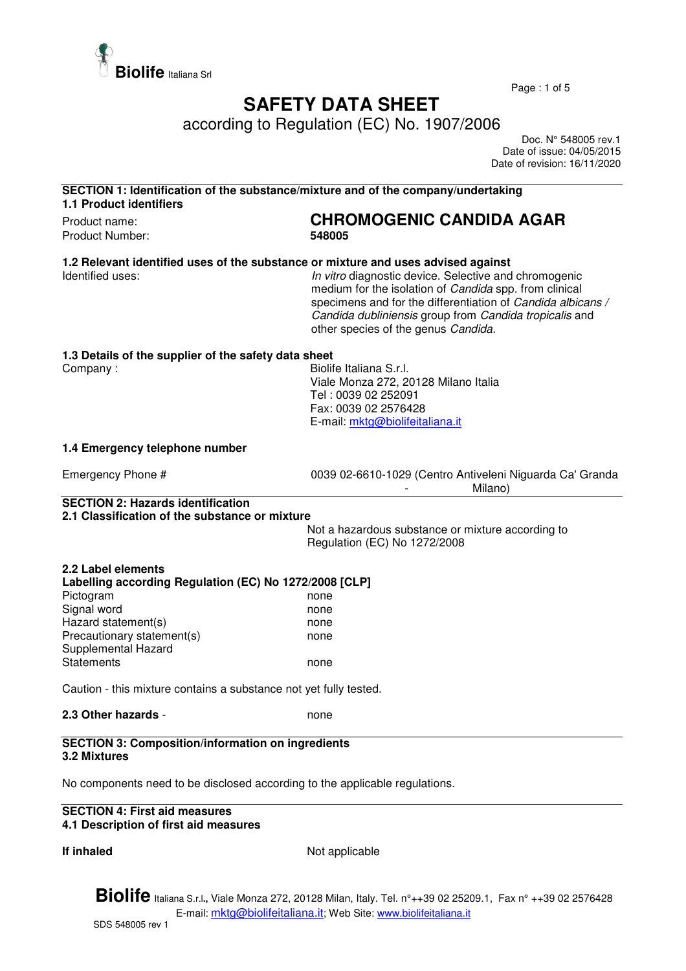

Page : 1 of 5

# **SAFETY DATA SHEET**

according to Regulation (EC) No. 1907/2006

 Doc. N° 548005 rev.1 Date of issue: 04/05/2015 Date of revision: 16/11/2020

| SECTION 1: Identification of the substance/mixture and of the company/undertaking<br><b>1.1 Product identifiers</b> |                                                             |
|---------------------------------------------------------------------------------------------------------------------|-------------------------------------------------------------|
| Product name:                                                                                                       | <b>CHROMOGENIC CANDIDA AGAR</b>                             |
| Product Number:                                                                                                     | 548005                                                      |
| 1.2 Relevant identified uses of the substance or mixture and uses advised against                                   |                                                             |
| Identified uses:                                                                                                    | In vitro diagnostic device. Selective and chromogenic       |
|                                                                                                                     | medium for the isolation of Candida spp. from clinical      |
|                                                                                                                     | specimens and for the differentiation of Candida albicans / |
|                                                                                                                     | Candida dubliniensis group from Candida tropicalis and      |
|                                                                                                                     | other species of the genus Candida.                         |
| 1.3 Details of the supplier of the safety data sheet                                                                |                                                             |
| Company:                                                                                                            | Biolife Italiana S.r.l.                                     |
|                                                                                                                     | Viale Monza 272, 20128 Milano Italia                        |
|                                                                                                                     | Tel: 0039 02 252091                                         |
|                                                                                                                     | Fax: 0039 02 2576428                                        |
|                                                                                                                     | E-mail: mktg@biolifeitaliana.it                             |
| 1.4 Emergency telephone number                                                                                      |                                                             |
| Emergency Phone #                                                                                                   | 0039 02-6610-1029 (Centro Antiveleni Niguarda Ca' Granda    |
|                                                                                                                     | Milano)                                                     |
| <b>SECTION 2: Hazards identification</b>                                                                            |                                                             |
| 2.1 Classification of the substance or mixture                                                                      |                                                             |
|                                                                                                                     | Not a hazardous substance or mixture according to           |
|                                                                                                                     | Regulation (EC) No 1272/2008                                |
| 2.2 Label elements                                                                                                  |                                                             |
| Labelling according Regulation (EC) No 1272/2008 [CLP]                                                              |                                                             |
| Pictogram                                                                                                           | none                                                        |
| Signal word                                                                                                         | none                                                        |
| Hazard statement(s)<br>Precautionary statement(s)                                                                   | none<br>none                                                |
| Supplemental Hazard                                                                                                 |                                                             |
| <b>Statements</b>                                                                                                   | none                                                        |
|                                                                                                                     |                                                             |
| Caution - this mixture contains a substance not yet fully tested.                                                   |                                                             |
| 2.3 Other hazards -                                                                                                 | none                                                        |
| <b>SECTION 3: Composition/information on ingredients</b><br>3.2 Mixtures                                            |                                                             |
| No components need to be disclosed according to the applicable regulations.                                         |                                                             |

#### **SECTION 4: First aid measures 4.1 Description of first aid measures**

**If inhaled** Not applicable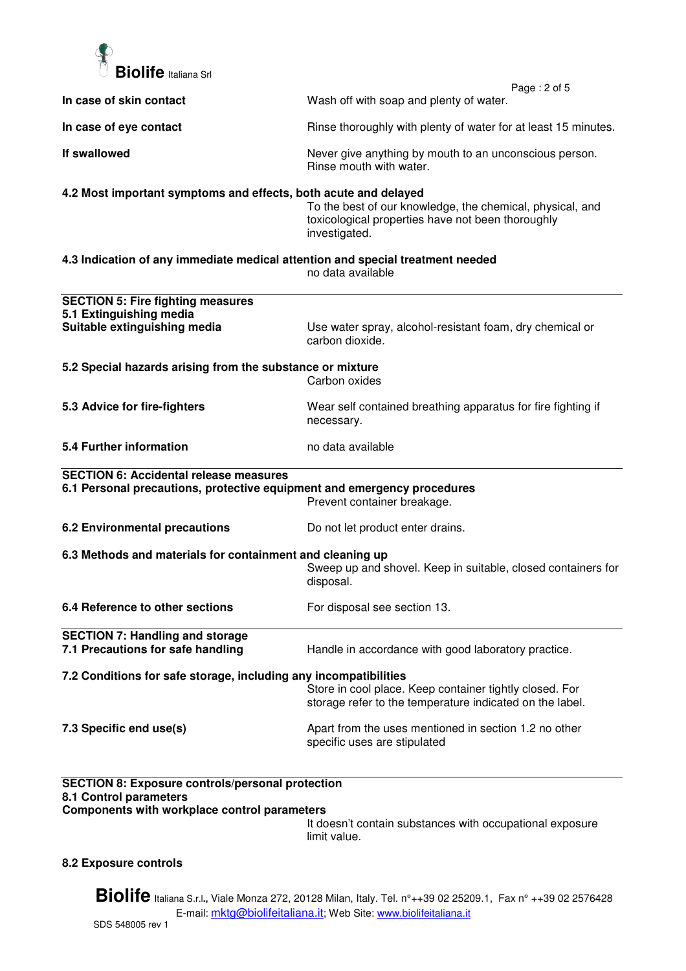

|                                                                                   | Page: 2 of 5                                                                                                                    |  |
|-----------------------------------------------------------------------------------|---------------------------------------------------------------------------------------------------------------------------------|--|
| In case of skin contact                                                           | Wash off with soap and plenty of water.                                                                                         |  |
| In case of eye contact                                                            | Rinse thoroughly with plenty of water for at least 15 minutes.                                                                  |  |
| If swallowed                                                                      | Never give anything by mouth to an unconscious person.<br>Rinse mouth with water.                                               |  |
| 4.2 Most important symptoms and effects, both acute and delayed                   | To the best of our knowledge, the chemical, physical, and<br>toxicological properties have not been thoroughly<br>investigated. |  |
| 4.3 Indication of any immediate medical attention and special treatment needed    | no data available                                                                                                               |  |
| <b>SECTION 5: Fire fighting measures</b>                                          |                                                                                                                                 |  |
| 5.1 Extinguishing media                                                           |                                                                                                                                 |  |
| Suitable extinguishing media                                                      | Use water spray, alcohol-resistant foam, dry chemical or<br>carbon dioxide.                                                     |  |
| 5.2 Special hazards arising from the substance or mixture                         |                                                                                                                                 |  |
|                                                                                   | Carbon oxides                                                                                                                   |  |
| 5.3 Advice for fire-fighters                                                      | Wear self contained breathing apparatus for fire fighting if<br>necessary.                                                      |  |
| 5.4 Further information                                                           | no data available                                                                                                               |  |
| <b>SECTION 6: Accidental release measures</b>                                     |                                                                                                                                 |  |
| 6.1 Personal precautions, protective equipment and emergency procedures           | Prevent container breakage.                                                                                                     |  |
| <b>6.2 Environmental precautions</b>                                              | Do not let product enter drains.                                                                                                |  |
| 6.3 Methods and materials for containment and cleaning up                         | Sweep up and shovel. Keep in suitable, closed containers for<br>disposal.                                                       |  |
| 6.4 Reference to other sections                                                   | For disposal see section 13.                                                                                                    |  |
| <b>SECTION 7: Handling and storage</b><br>7.1 Precautions for safe handling       | Handle in accordance with good laboratory practice.                                                                             |  |
| 7.2 Conditions for safe storage, including any incompatibilities                  |                                                                                                                                 |  |
|                                                                                   | Store in cool place. Keep container tightly closed. For<br>storage refer to the temperature indicated on the label.             |  |
| 7.3 Specific end use(s)                                                           | Apart from the uses mentioned in section 1.2 no other<br>specific uses are stipulated                                           |  |
| <b>SECTION 8: Exposure controls/personal protection</b><br>8.1 Control parameters |                                                                                                                                 |  |
| Components with workplace control parameters                                      |                                                                                                                                 |  |

It doesn't contain substances with occupational exposure limit value.

## **8.2 Exposure controls**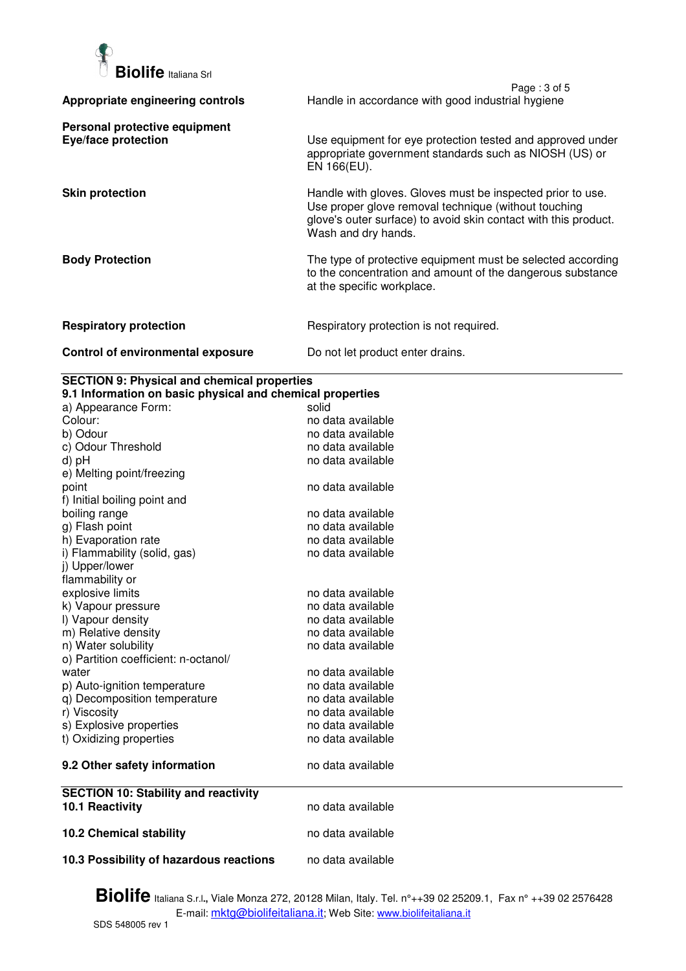

|                                                      | Page: 3 of 5                                                                                                                                                                                                 |
|------------------------------------------------------|--------------------------------------------------------------------------------------------------------------------------------------------------------------------------------------------------------------|
| Appropriate engineering controls                     | Handle in accordance with good industrial hygiene                                                                                                                                                            |
| Personal protective equipment<br>Eye/face protection | Use equipment for eye protection tested and approved under<br>appropriate government standards such as NIOSH (US) or<br>EN 166(EU).                                                                          |
| <b>Skin protection</b>                               | Handle with gloves. Gloves must be inspected prior to use.<br>Use proper glove removal technique (without touching<br>glove's outer surface) to avoid skin contact with this product.<br>Wash and dry hands. |
| <b>Body Protection</b>                               | The type of protective equipment must be selected according<br>to the concentration and amount of the dangerous substance<br>at the specific workplace.                                                      |
| <b>Respiratory protection</b>                        | Respiratory protection is not required.                                                                                                                                                                      |
| Control of environmental exposure                    | Do not let product enter drains.                                                                                                                                                                             |

### **SECTION 9: Physical and chemical properties**

| 9.1 Information on basic physical and chemical properties |                   |  |
|-----------------------------------------------------------|-------------------|--|
| a) Appearance Form:                                       | solid             |  |
| Colour:                                                   | no data available |  |
| b) Odour                                                  | no data available |  |
| c) Odour Threshold                                        | no data available |  |
| d) pH                                                     | no data available |  |
| e) Melting point/freezing                                 |                   |  |
| point                                                     | no data available |  |
| f) Initial boiling point and                              |                   |  |
| boiling range                                             | no data available |  |
| g) Flash point                                            | no data available |  |
| h) Evaporation rate                                       | no data available |  |
| i) Flammability (solid, gas)                              | no data available |  |
| i) Upper/lower                                            |                   |  |
| flammability or                                           |                   |  |
| explosive limits                                          | no data available |  |
| k) Vapour pressure                                        | no data available |  |
| I) Vapour density                                         | no data available |  |
| m) Relative density                                       | no data available |  |
| n) Water solubility                                       | no data available |  |
| o) Partition coefficient: n-octanol/                      |                   |  |
| water                                                     | no data available |  |
| p) Auto-ignition temperature                              | no data available |  |
| q) Decomposition temperature                              | no data available |  |
| r) Viscosity                                              | no data available |  |
| s) Explosive properties                                   | no data available |  |
| t) Oxidizing properties                                   | no data available |  |
| 9.2 Other safety information                              | no data available |  |
| <b>SECTION 10: Stability and reactivity</b>               |                   |  |
| 10.1 Reactivity                                           | no data available |  |
| <b>10.2 Chemical stability</b>                            | no data available |  |
|                                                           |                   |  |
| 10.3 Possibility of hazardous reactions                   | no data available |  |

**Biolife** Italiana S.r.l**.,** Viale Monza 272, 20128 Milan, Italy. Tel. n°++39 02 25209.1, Fax n° ++39 02 2576428 E-mail: <u>mktg@biolifeitaliana.it</u>; Web Site: www.biolifeitaliana.it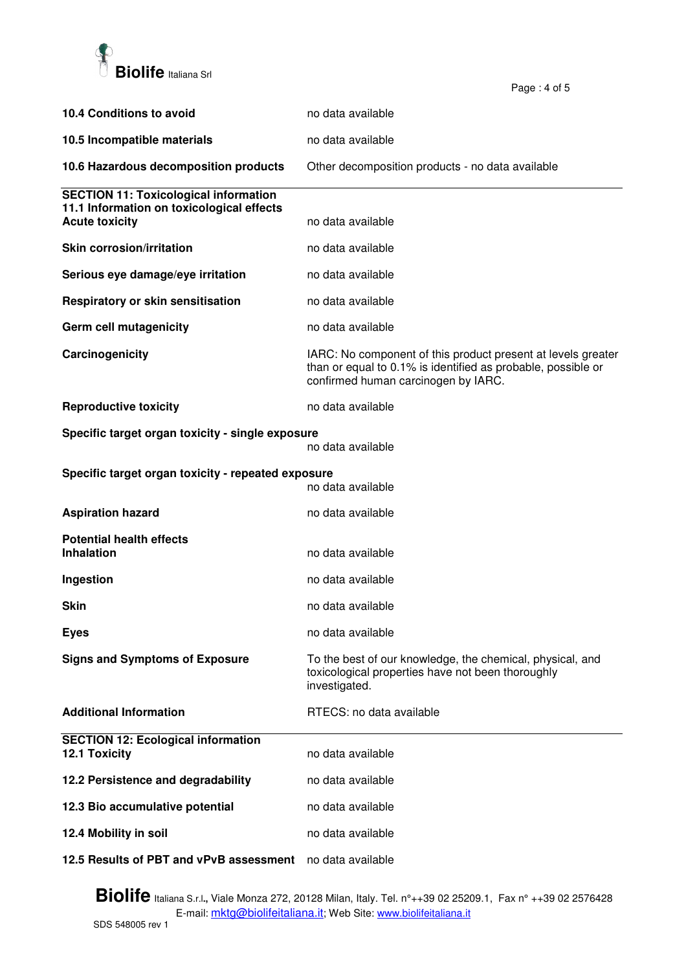

| 10.4 Conditions to avoid                                           | no data available                                                                                                                                                   |
|--------------------------------------------------------------------|---------------------------------------------------------------------------------------------------------------------------------------------------------------------|
| 10.5 Incompatible materials                                        | no data available                                                                                                                                                   |
| 10.6 Hazardous decomposition products                              | Other decomposition products - no data available                                                                                                                    |
| <b>SECTION 11: Toxicological information</b>                       |                                                                                                                                                                     |
| 11.1 Information on toxicological effects<br><b>Acute toxicity</b> | no data available                                                                                                                                                   |
| <b>Skin corrosion/irritation</b>                                   | no data available                                                                                                                                                   |
| Serious eye damage/eye irritation                                  | no data available                                                                                                                                                   |
| Respiratory or skin sensitisation                                  | no data available                                                                                                                                                   |
| Germ cell mutagenicity                                             | no data available                                                                                                                                                   |
| Carcinogenicity                                                    | IARC: No component of this product present at levels greater<br>than or equal to 0.1% is identified as probable, possible or<br>confirmed human carcinogen by IARC. |
| <b>Reproductive toxicity</b>                                       | no data available                                                                                                                                                   |
| Specific target organ toxicity - single exposure                   | no data available                                                                                                                                                   |
|                                                                    |                                                                                                                                                                     |
| Specific target organ toxicity - repeated exposure                 | no data available                                                                                                                                                   |
| <b>Aspiration hazard</b>                                           | no data available                                                                                                                                                   |
| <b>Potential health effects</b><br><b>Inhalation</b>               | no data available                                                                                                                                                   |
| Ingestion                                                          | no data available                                                                                                                                                   |
| <b>Skin</b>                                                        | no data available                                                                                                                                                   |
| <b>Eyes</b>                                                        | no data available                                                                                                                                                   |
| <b>Signs and Symptoms of Exposure</b>                              | To the best of our knowledge, the chemical, physical, and<br>toxicological properties have not been thoroughly<br>investigated.                                     |
| <b>Additional Information</b>                                      | RTECS: no data available                                                                                                                                            |
| <b>SECTION 12: Ecological information</b><br>12.1 Toxicity         | no data available                                                                                                                                                   |
| 12.2 Persistence and degradability                                 | no data available                                                                                                                                                   |
| 12.3 Bio accumulative potential                                    | no data available                                                                                                                                                   |
| 12.4 Mobility in soil                                              | no data available                                                                                                                                                   |
| 12.5 Results of PBT and vPvB assessment                            | no data available                                                                                                                                                   |

Page : 4 of 5